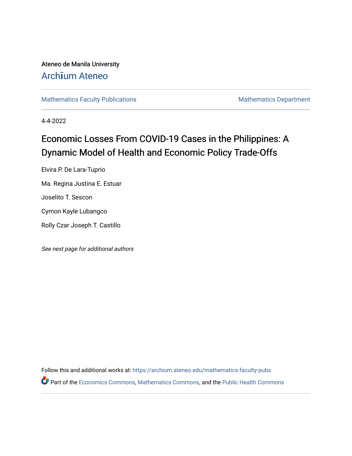Ateneo de Manila University Arch**ī**[um Ateneo](https://archium.ateneo.edu/) 

[Mathematics Faculty Publications](https://archium.ateneo.edu/mathematics-faculty-pubs) Mathematics Department

4-4-2022

## Economic Losses From COVID-19 Cases in the Philippines: A Dynamic Model of Health and Economic Policy Trade-Offs

Elvira P. De Lara-Tuprio Ma. Regina Justina E. Estuar Joselito T. Sescon Cymon Kayle Lubangco

Rolly Czar Joseph T. Castillo

See next page for additional authors

Follow this and additional works at: [https://archium.ateneo.edu/mathematics-faculty-pubs](https://archium.ateneo.edu/mathematics-faculty-pubs?utm_source=archium.ateneo.edu%2Fmathematics-faculty-pubs%2F196&utm_medium=PDF&utm_campaign=PDFCoverPages)  Part of the [Economics Commons](http://network.bepress.com/hgg/discipline/340?utm_source=archium.ateneo.edu%2Fmathematics-faculty-pubs%2F196&utm_medium=PDF&utm_campaign=PDFCoverPages), [Mathematics Commons,](http://network.bepress.com/hgg/discipline/174?utm_source=archium.ateneo.edu%2Fmathematics-faculty-pubs%2F196&utm_medium=PDF&utm_campaign=PDFCoverPages) and the [Public Health Commons](http://network.bepress.com/hgg/discipline/738?utm_source=archium.ateneo.edu%2Fmathematics-faculty-pubs%2F196&utm_medium=PDF&utm_campaign=PDFCoverPages)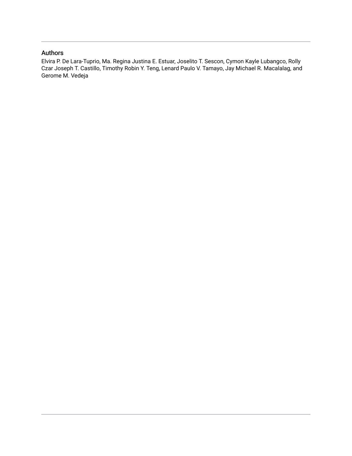### Authors

Elvira P. De Lara-Tuprio, Ma. Regina Justina E. Estuar, Joselito T. Sescon, Cymon Kayle Lubangco, Rolly Czar Joseph T. Castillo, Timothy Robin Y. Teng, Lenard Paulo V. Tamayo, Jay Michael R. Macalalag, and Gerome M. Vedeja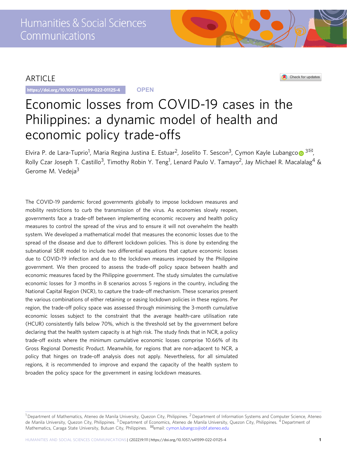### ARTICLE

https://doi.org/10.1057/s41599-022-01125-4 **OPEN**



# Economic losses from COVID-19 cases in the Philippines: a dynamic model of health and economic policy trade-offs

Elvira P. de Lara-Tupri[o](http://orcid.org/0000-0002-1292-4687)<sup>1</sup>, Maria Regina Justina E. Estuar<sup>2</sup>, Joselito T. Sescon<sup>3</sup>, Cymon Kayle Lubangco⋒<sup>3⊠</sup>, Rolly Czar Joseph T. Castillo<sup>3</sup>, Timothy Robin Y. Teng<sup>1</sup>, Lenard Paulo V. Tamayo<sup>2</sup>, Jay Michael R. Macalalag<sup>4</sup> & Gerome M. Vedeja<sup>3</sup>

The COVID-19 pandemic forced governments globally to impose lockdown measures and mobility restrictions to curb the transmission of the virus. As economies slowly reopen, governments face a trade-off between implementing economic recovery and health policy measures to control the spread of the virus and to ensure it will not overwhelm the health system. We developed a mathematical model that measures the economic losses due to the spread of the disease and due to different lockdown policies. This is done by extending the subnational SEIR model to include two differential equations that capture economic losses due to COVID-19 infection and due to the lockdown measures imposed by the Philippine government. We then proceed to assess the trade-off policy space between health and economic measures faced by the Philippine government. The study simulates the cumulative economic losses for 3 months in 8 scenarios across 5 regions in the country, including the National Capital Region (NCR), to capture the trade-off mechanism. These scenarios present the various combinations of either retaining or easing lockdown policies in these regions. Per region, the trade-off policy space was assessed through minimising the 3-month cumulative economic losses subject to the constraint that the average health-care utilisation rate (HCUR) consistently falls below 70%, which is the threshold set by the government before declaring that the health system capacity is at high risk. The study finds that in NCR, a policy trade-off exists where the minimum cumulative economic losses comprise 10.66% of its Gross Regional Domestic Product. Meanwhile, for regions that are non-adjacent to NCR, a policy that hinges on trade-off analysis does not apply. Nevertheless, for all simulated regions, it is recommended to improve and expand the capacity of the health system to broaden the policy space for the government in easing lockdown measures.

 $1$ Department of Mathematics, Ateneo de Manila University, Quezon City, Philippines.  $2$ Department of Information Systems and Computer Science, Ateneo de Manila University, Quezon City, Philippines. <sup>3</sup> Department of Economics, Ateneo de Manila University, Quezon City, Philippines. <sup>4</sup> Department of Mathematics, Caraga State University, Butuan City, Philippines. <sup>⊠</sup>email: [cymon.lubangco@obf.ateneo.edu](mailto:cymon.lubangco@obf.ateneo.edu)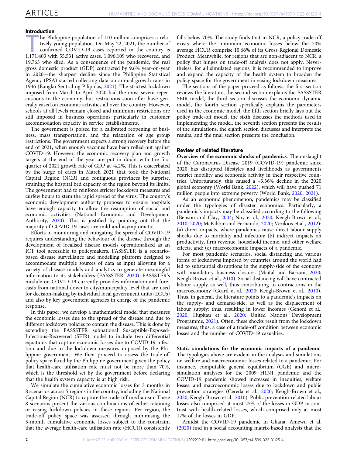#### Introduction

 $<sup>1</sup>$ he Philippine population of 110 million comprises a rela-</sup> tively young population. On May 22, 2021, the number of confirmed COVID-19 cases reported in the country is 1,171,403 with 55,531 active cases, 1,096,109 who recovered, and 19,763 who died. As a consequence of the pandemic, the real gross domestic product (GDP) contracted by 9.6% year-on-year in 2020—the sharpest decline since the Philippine Statistical Agency (PSA) started collecting data on annual growth rates in 1946 (Bangko Sentral ng Pilipinas, [2021\)](#page-10-0). The strictest lockdown imposed from March to April 2020 had the most severe repercussions to the economy, but restrictions soon after have generally eased on economic activities all over the country. However, schools at all levels remain closed and minimum restrictions are still imposed in business operations particularly in customer accommodation capacity in service establishments.

The government is poised for a calibrated reopening of business, mass transportation, and the relaxation of age group restrictions. The government expects a strong recovery before the end of 2021, when enough vaccines have been rolled out against COVID-19. However, the economic recovery plan and growth targets at the end of the year are put in doubt with the first quarter of 2021 growth rate of GDP at -4.2%. This is exacerbated by the surge of cases in March 2021 that took the National Capital Region (NCR) and contiguous provinces by surprise, straining the hospital bed capacity of the region beyond its limits. The government had to reinforce stricter lockdown measures and curfew hours to stem the rapid spread of the virus. The country's economic development authority proposes to ensure hospitals have enough capacity to allow the resumption of social and economic activities (National Economic and Development Authority, [2020\)](#page-11-0). This is justified by pointing out that the majority of COVID-19 cases are mild and asymptomatic.

Efforts in monitoring and mitigating the spread of COVID-19 requires understanding the behaviour of the disease through the development of localised disease models operationalized as an ICT tool accessible to policymakers. FASSSTER is a scenariobased disease surveillance and modelling platform designed to accommodate multiple sources of data as input allowing for a variety of disease models and analytics to generate meaningful information to its stakeholders (FASSSTER, [2020\)](#page-10-0). FASSSTER's module on COVID-19 currently provides information and forecasts from national down to city/municipality level that are used for decision-making by individual local government units (LGUs) and also by key government agencies in charge of the pandemic response.

In this paper, we develop a mathematical model that measures the economic losses due to the spread of the disease and due to different lockdown policies to contain the disease. This is done by extending the FASSSTER subnational Susceptible-Exposed-Infectious-Recovered (SEIR) model to include two differential equations that capture economic losses due to COVID-19 infection and due to the lockdown measures imposed by the Philippine government. We then proceed to assess the trade-off policy space faced by the Philippine government given the policy that health-care utilisation rate must not be more than 70%, which is the threshold set by the government before declaring that the health system capacity is at high risk.

We simulate the cumulative economic losses for 3 months in 8 scenarios across 5 regions in the country, including the National Capital Region (NCR) to capture the trade-off mechanism. These 8 scenarios present the various combinations of either retaining or easing lockdown policies in these regions. Per region, the trade-off policy space was assessed through minimising the 3-month cumulative economic losses subject to the constraint that the average health-care utilisation rate (HCUR) consistently

falls below 70%. The study finds that in NCR, a policy trade-off exists where the minimum economic losses below the 70% average HCUR comprise 10.66% of its Gross Regional Domestic Product. Meanwhile, for regions that are non-adjacent to NCR, a policy that hinges on trade-off analysis does not apply. Nevertheless, for all simulated regions, it is recommended to improve and expand the capacity of the health system to broaden the policy space for the government in easing lockdown measures.

The sections of the paper proceed as follows: the first section reviews the literature, the second section explains the FASSSTER SEIR model, the third section discusses the economic dynamic model, the fourth section specifically explains the parameters used in the economic model, the fifth section briefly lays out the policy trade-off model, the sixth discusses the methods used in implementing the model, the seventh section presents the results of the simulations, the eighth section discusses and interprets the results, and the final section presents the conclusion.

#### Review of related literature

Overview of the economic shocks of pandemics. The onslaught of the Coronavirus Disease 2019 (COVID-19) pandemic since 2020 has disrupted lifestyles and livelihoods as governments restrict mobility and economic activity in their respective countries. Unfortunately, this caused a  $-3.36\%$  decline in the 2020 global economy (World Bank, [2022\)](#page-11-0), which will have pushed 71 million people into extreme poverty (World Bank, [2020](#page-11-0); [2021\)](#page-11-0).

As an economic phenomenon, pandemics may be classified under the typologies of disaster economics. Particularly, a pandemic's impacts may be classified according to the following (Benson and Clay, [2004;](#page-10-0) Noy et al., [2020](#page-11-0); Keogh-Brown et al., [2010;](#page-11-0) [2020;](#page-11-0) McKibbin and Fernando, [2020](#page-11-0); Verikios et al., [2012](#page-11-0)): (a) direct impacts, where pandemics cause direct labour supply shocks due to mortality and infection; (b) indirect impacts on productivity, firm revenue, household income, and other welfare effects, and; (c) macroeconomic impacts of a pandemic.

For most pandemic scenarios, social distancing and various forms of lockdowns imposed by countries around the world had led to substantial disruptions in the supply-side of the economy with mandatory business closures (Maital and Barzani, [2020;](#page-11-0) Keogh-Brown et al., [2010](#page-11-0)). Social distancing will have contracted labour supply as well, thus contributing to contractions in the macroeconomy (Geard et al., [2020;](#page-10-0) Keogh-Brown et al., [2010](#page-11-0)). Thus, in general, the literature points to a pandemic's impacts on the supply- and demand-side, as well as the displacement of labour supply; thus, resulting in lower incomes (Genoni et al., [2020;](#page-10-0) Hupkau et al., [2020](#page-10-0); United Nations Development Programme, [2021](#page-11-0)). Often, these shocks result from the lockdown measures; thus, a case of a trade-off condition between economic losses and the number of COVID-19 casualties.

Static simulations for the economic impacts of a pandemic. The typologies above are evident in the analyses and simulations on welfare and macroeconomic losses related to a pandemic. For instance, computable general equilibrium (CGE) and microsimulation analyses for the 2009 H1N1 pandemic and the COVID-19 pandemic showed increases in inequities, welfare losses, and macroeconomic losses due to lockdown and public prevention strategies (Cereda et al., [2020](#page-10-0); Keogh-Brown et al., [2020;](#page-11-0) Keogh-Brown et al., [2010\)](#page-11-0). Public prevention-related labour losses also comprised at most 25% of the losses in GDP in contrast with health-related losses, which comprised only at most 17% of the losses in GDP.

Amidst the COVID-19 pandemic in Ghana, Amewu et al. ([2020](#page-10-0)) find in a social accounting matrix-based analysis that the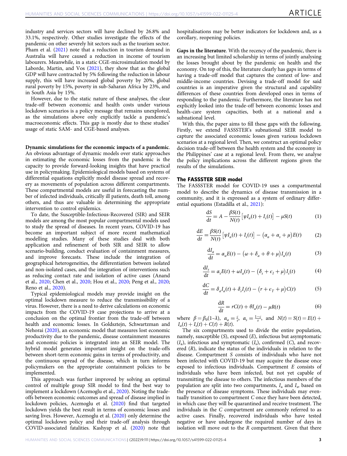industry and services sectors will have declined by 26.8% and 33.1%, respectively. Other studies investigate the effects of the pandemic on other severely hit sectors such as the tourism sector. Pham et al. ([2021\)](#page-11-0) note that a reduction in tourism demand in Australia will have caused a reduction in income of tourism labourers. Meanwhile, in a static CGE-microsimulation model by Laborde, Martin, and Vos ([2021\)](#page-11-0), they show that as the global GDP will have contracted by 5% following the reduction in labour supply, this will have increased global poverty by 20%, global rural poverty by 15%, poverty in sub-Saharan Africa by 23%, and in South Asia by 15%.

However, due to the static nature of these analyses, the clear trade-off between economic and health costs under various lockdown scenarios is a policy message that remains unexplored, as the simulations above only explicitly tackle a pandemic's macroeconomic effects. This gap is mostly due to these studies' usage of static SAM- and CGE-based analyses.

#### Dynamic simulations for the economic impacts of a pandemic.

An obvious advantage of dynamic models over static approaches in estimating the economic losses from the pandemic is the capacity to provide forward-looking insights that have practical use in policymaking. Epidemiological models based on systems of differential equations explicitly model disease spread and recovery as movements of population across different compartments. These compartmental models are useful in forecasting the number of infected individuals, critically ill patients, death toll, among others, and thus are valuable in determining the appropriate intervention to control epidemics.

To date, the Susceptible-Infectious-Recovered (SIR) and SEIR models are among the most popular compartmental models used to study the spread of diseases. In recent years, COVID-19 has become an important subject of more recent mathematical modelling studies. Many of these studies deal with both application and refinement of both SIR and SEIR to allow scenario-building, conduct evaluation of containment measures, and improve forecasts. These include the integration of geographical heterogeneities, the differentiation between isolated and non-isolated cases, and the integration of interventions such as reducing contact rate and isolation of active cases (Anand et al., [2020](#page-10-0); Chen et al., [2020;](#page-10-0) Hou et al., [2020](#page-10-0); Peng et al., [2020;](#page-11-0) Reno et al., [2020](#page-11-0)).

Typical epidemiological models may provide insight on the optimal lockdown measure to reduce the transmissibility of a virus. However, there is a need to derive calculations on economic impacts from the COVID-19 case projections to arrive at a conclusion on the optimal frontier from the trade-off between health and economic losses. In Goldsztejn, Schwartzman and Nehorai [\(2020](#page-10-0)), an economic model that measures lost economic productivity due to the pandemic, disease containment measures and economic policies is integrated into an SEIR model. The hybrid model generates important insight on the trade-offs between short-term economic gains in terms of productivity, and the continuous spread of the disease, which in turn informs policymakers on the appropriate containment policies to be implemented.

This approach was further improved by solving an optimal control of multiple group SIR model to find the best way to implement a lockdown (Acemoglu et al., [2020\)](#page-10-0). Noting the tradeoffs between economic outcomes and spread of disease implied in lockdown policies, Acemoglu et al. [\(2020](#page-10-0)) find that targeted lockdown yields the best result in terms of economic losses and saving lives. However, Acemoglu et al. [\(2020\)](#page-10-0) only determine the optimal lockdown policy and their trade-off analysis through COVID-associated fatalities. Kashyap et al. [\(2020\)](#page-11-0) note that hospitalisations may be better indicators for lockdown and, as a corollary, reopening policies.

Gaps in the literature. With the recency of the pandemic, there is an increasing but limited scholarship in terms of jointly analysing the losses brought about by the pandemic on health and the economy. On top of this, the literature clearly has gaps in terms of having a trade-off model that captures the context of low- and middle-income countries. Devising a trade-off model for said countries is an imperative given the structural and capability differences of these countries from developed ones in terms of responding to the pandemic. Furthermore, the literature has not explicitly looked into the trade-off between economic losses and health-care system capacities, both at a national and a subnational level.

With this, the paper aims to fill these gaps with the following. Firstly, we extend FASSSTER's subnational SEIR model to capture the associated economic losses given various lockdown scenarios at a regional level. Then, we construct an optimal policy decision trade-off between the health system and the economy in the Philippines' case at a regional level. From there, we analyse the policy implications across the different regions given the results of the simulations.

#### The FASSSTER SEIR model

The FASSSTER model for COVID-19 uses a compartmental model to describe the dynamics of disease transmission in a community, and it is expressed as a system of ordinary differential equations (Estadilla et al., [2021\)](#page-10-0):

$$
\frac{dS}{dt} = A - \frac{\beta S(t)}{N(t)} \left[ \psi I_a(t) + I_s(t) \right] - \mu S(t) \tag{1}
$$

$$
\frac{dE}{dt} = \frac{\beta S(t)}{N(t)} \left[ \psi I_a(t) + I_s(t) \right] - \left( \alpha_a + \alpha_s + \mu \right) E(t) \tag{2}
$$

$$
\frac{dI_a}{dt} = \alpha_a E(t) - (\omega + \delta_a + \theta + \mu)I_a(t)
$$
\n(3)

$$
\frac{dI_s}{dt} = \alpha_s E(t) + \omega I_a(t) - (\delta_s + \epsilon_I + \mu) I_s(t)
$$
\n(4)

$$
\frac{dC}{dt} = \delta_a I_a(t) + \delta_s I_s(t) - \left(r + \epsilon_T + \mu\right)C(t) \tag{5}
$$

$$
\frac{dR}{dt} = rC(t) + \theta I_a(t) - \mu R(t)
$$
\n(6)

where  $\beta = \beta_0(1-\lambda)$ ,  $\alpha_a = \frac{c}{\tau}$ ,  $\alpha_s = \frac{1-c}{\tau}$ , and  $N(t) = S(t) = E(t) +$  $I_a(t) + I_s(t) + C(t) + R(t).$ 

The six compartments used to divide the entire population, namely, susceptible  $(S)$ , exposed  $(E)$ , infectious but asymptomatic  $(I_a)$ , infectious and symptomatic  $(I_s)$ , confirmed  $(C)$ , and recovered (R), indicate the status of the individuals in relation to the disease. Compartment S consists of individuals who have not been infected with COVID-19 but may acquire the disease once exposed to infectious individuals. Compartment E consists of individuals who have been infected, but not yet capable of transmitting the disease to others. The infectious members of the population are split into two compartments,  $I_a$  and  $I_s$ , based on the presence of disease symptoms. These individuals may eventually transition to compartment C once they have been detected, in which case they will be quarantined and receive treatment. The individuals in the C compartment are commonly referred to as active cases. Finally, recovered individuals who have tested negative or have undergone the required number of days in isolation will move out to the R compartment. Given that there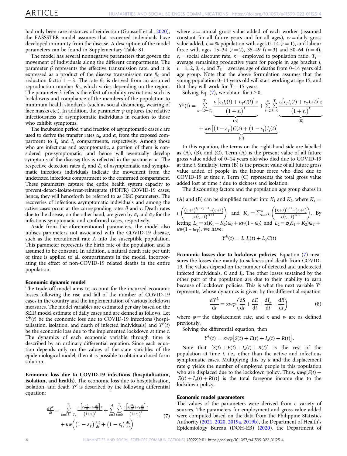<span id="page-5-0"></span>had only been rare instances of reinfection (Gousseff et al., [2020](#page-10-0)), the FASSSTER model assumes that recovered individuals have developed immunity from the disease. A description of the model parameters can be found in Supplementary Table S1.

The model has several nonnegative parameters that govern the movement of individuals along the different compartments. The parameter  $\beta$  represents the effective transmission rate, and it is expressed as a product of the disease transmission rate  $\beta_0$  and reduction factor 1 –  $\lambda$ . The rate  $\beta_0$  is derived from an assumed reproduction number  $R_0$ , which varies depending on the region. The parameter  $\lambda$  reflects the effect of mobility restrictions such as lockdowns and compliance of the members of the population to minimum health standards (such as social distancing, wearing of face masks etc.). In addition, the parameter  $\psi$  captures the relative infectiousness of asymptomatic individuals in relation to those who exhibit symptoms.

The incubation period  $\tau$  and fraction of asymptomatic cases  $c$  are used to derive the transfer rates  $\alpha_{\alpha}$  and  $\alpha_{s}$  from the exposed compartment to  $I_a$  and  $I_s$  compartments, respectively. Among those who are infectious and asymptomatic, a portion of them is considered pre-symptomatic, and hence will eventually develop symptoms of the disease; this is reflected in the parameter ω. The respective detection rates  $\delta_a$  and  $\delta_s$  of asymptomatic and symptomatic infectious individuals indicate the movement from the undetected infectious compartment to the confirmed compartment. These parameters capture the entire health system capacity to prevent-detect-isolate-treat-reintegrate (PDITR) COVID-19 cases; hence, they will henceforth be referred to as HSC parameters. The recoveries of infectious asymptomatic individuals and among the active cases occur at the corresponding rates  $\theta$  and r. Death rates due to the disease, on the other hand, are given by  $\epsilon_I$  and  $\epsilon_T$  for the infectious symptomatic and confirmed cases, respectively.

Aside from the aforementioned parameters, the model also utilises parameters not associated with the COVID-19 disease, such as the recruitment rate A into the susceptible population. This parameter represents the birth rate of the population and is assumed to be constant. In addition, a natural death rate per unit of time is applied to all compartments in the model, incorporating the effect of non-COVID-19 related deaths in the entire population.

#### Economic dynamic model

The trade-off model aims to account for the incurred economic losses following the rise and fall of the number of COVID-19 cases in the country and the implementation of various lockdown measures. The model variables are estimated per day based on the SEIR model estimate of daily cases and are defined as follows. Let  $Y^{E}(t)$  be the economic loss due to COVID-19 infections (hospitalisation, isolation, and death of infected individuals) and  $Y^{E}(t)$ be the economic loss due to the implemented lockdown at time t. The dynamics of each economic variable through time is described by an ordinary differential equation. Since each equation depends only on the values of the state variables of the epidemiological model, then it is possible to obtain a closed form solution.

Economic loss due to COVID-19 infections (hospitalisation, isolation, and health). The economic loss due to hospitalisation, isolation, and death  $Y^E$  is described by the following differential equation:

$$
\frac{dY^{E}}{dt} = \sum_{k=15-T_5}^{T_1} \frac{\iota_1 \left[ \varepsilon_l \frac{dt_s}{dt} + \varepsilon_r \frac{dC}{dt} \right] z}{\left( 1+s_r \right)^k} + \sum_{i=2}^4 \sum_{k=0}^{T_i} \frac{\iota_i \left[ \varepsilon_l \frac{dt_s}{dt} + \varepsilon_r \frac{dC}{dt} \right] z}{\left( 1+s_r \right)^k} + \kappa w \left( \left( 1 - \varepsilon_T \right) \frac{dC}{dt} + \left( 1 - \varepsilon_l \right) \frac{dI_s}{dt} \right)
$$
\n(7)

where  $z =$  annual gross value added of each worker (assumed constant for all future years and for all ages),  $w = \text{daily gross}$ value added,  $i = 0$  population with ages 0–14 ( $i = 1$ ), and labour force with ages 15–34  $(i = 2)$ , 35–49  $(i = 3)$  and 50–64  $(i = 4)$ ,  $s_r$  = social discount rate,  $\kappa$  = employed to population ratio,  $T_i$  = average remaining productive years for people in age bracket  $i$ ,  $i = 1, 2, 3, 4$ , and  $T_5$  = average age of deaths from 0–14 years old age group. Note that the above formulation assumes that the young population 0–14 years old will start working at age 15, and that they will work for  $T_1-15$  years.

Solving Eq. (7), we obtain for  $t \ge 0$ ,

$$
Y^{E}(t) = \sum_{k=15-T_5}^{T_1} \underbrace{\frac{\iota_1 \big[ \varepsilon_I I_s(t) + \varepsilon_T C(t) \big] z}{(1+s_r)^k}}_{(A)} + \sum_{i=2}^4 \sum_{k=0}^{T_i} \underbrace{\frac{\iota_i \big[ \varepsilon_I I_s(t) + \varepsilon_T C(t) \big] z}{(1+s_r)^k}}_{(B)} + \underbrace{\kappa w \big[ (1-\varepsilon_T) C(t) + (1-\varepsilon_I) I_s(t) \big]}_{(C)}
$$

In this equation, the terms on the right-hand side are labelled as (A), (B), and (C). Term (A) is the present value of all future gross value added of 0–14 years old who died due to COVID-19 at time t. Similarly, term (B) is the present value of all future gross value added of people in the labour force who died due to COVID-19 at time t. Term (C) represents the total gross value added lost at time t due to sickness and isolation.

The discounting factors and the population age group shares in

(A) and (B) can be simplified further into  $K_1$  and  $K_2$ , where  $K_1 =$ 

$$
\iota_1\left(\frac{(s_r+1)^{T_1+T_5-13}-(s_r+1)}{s_r(s_r+1)^{T_1+1}}\right) \text{ and } K_2 = \sum_{i=2}^4 \iota_i\left(\frac{(s_r+1)^{T_i+2}-(s_r+1)}{s_r(s_r+1)^{T_i+1}}\right). \text{ By letting } L_1 = z(K_1+K_2) \in I + \kappa w(1-\in_I) \text{ and } L_2 = z(K_1+K_2) \in I + \kappa w(1-\in_I), \text{ we have: }
$$

$$
Y^{E}(t) = L_{1}I_{s}(t) + L_{2}C(t)
$$

Economic losses due to lockdown policies. Equation (7) measures the losses due mainly to sickness and death from COVID-19. The values depend on the number of detected and undetected infected individuals,  $C$  and  $I_s$ . The other losses sustained by the other part of the population are due to their inability to earn because of lockdown policies. This is what the next variable  $Y<sup>L</sup>$ represents, whose dynamics is given by the differential equation

$$
\frac{dY^L}{dt} = \kappa w \varphi \left( \frac{dS}{dt} + \frac{dE}{dt} + \frac{dI_a}{dt} + \frac{dR}{dt} \right)
$$
 (8)

where  $\varphi$  = the displacement rate, and  $\kappa$  and  $\omega$  are as defined previously.

Solving the differential equation, then

 $Y^{L}(t) = \kappa w \varphi \left[ S(t) + E(t) + I_{a}(t) + R(t) \right].$ 

Note that  $[S(t) + E(t) + I_a(t) + R(t)]$  is the rest of the population at time  $t$ , i.e., other than the active and infectious symptomatic cases. Multiplying this by  $\kappa$  and the displacement rate  $\varphi$  yields the number of employed people in this population who are displaced due to the lockdown policy. Thus,  $\kappa w \varphi S(t)$  +  $E(t) + I_a(t) + R(t)$  is the total foregone income due to the lockdown policy.

#### Economic model parameters

The values of the parameters were derived from a variety of sources. The parameters for employment and gross value added were computed based on the data from the Philippine Statistics Authority [\(2021](#page-11-0), [2020,](#page-11-0) [2019a,](#page-11-0) [2019b\)](#page-11-0), the Department of Health's Epidemiology Bureau (DOH-EB) [\(2020\)](#page-10-0), the Department of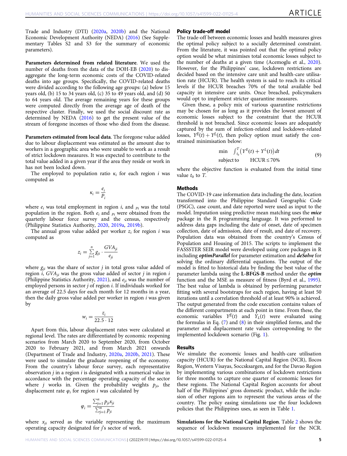Trade and Industry (DTI) [\(2020a](#page-10-0), [2020b\)](#page-10-0) and the National Economic Development Authority (NEDA) ([2016\)](#page-11-0) (See Supplementary Tables S2 and S3 for the summary of economic parameters).

Parameters determined from related literature. We used the number of deaths from the data of the DOH-EB [\(2020\)](#page-10-0) to disaggregate the long-term economic costs of the COVID-related deaths into age groups. Specifically, the COVID-related deaths were divided according to the following age groups: (a) below 15 years old, (b) 15 to 34 years old, (c) 35 to 49 years old, and (d) 50 to 64 years old. The average remaining years for these groups were computed directly from the average age of death of the respective cluster. Finally, we used the social discount rate as determined by NEDA [\(2016](#page-11-0)) to get the present value of the stream of foregone incomes of those who died from the disease.

Parameters estimated from local data. The foregone value added due to labour displacement was estimated as the amount due to workers in a geographic area who were unable to work as a result of strict lockdown measures. It was expected to contribute to the total value added in a given year if the area they reside or work in has not been locked down.

The employed to population ratio  $\kappa_i$  for each region i was computed as

$$
\kappa_i = \frac{e_i}{P_i}
$$

where  $e_i$  was total employment in region  $i$ , and  $p_i$  was the total population in the region. Both  $e_i$  and  $p_i$  were obtained from the quarterly labour force survey and the census, respectively (Philippine Statistics Authority, [2020,](#page-11-0) [2019a](#page-11-0), [2019b](#page-11-0)).

The annual gross value added per worker  $z_i$  for region i was computed as

$$
z_i = \sum_{j=1}^n g_{ji} \cdot \frac{GVA_{ji}}{e_{ji}}
$$

where  $g_{ii}$  was the share of sector j in total gross value added of region  $i$ , GVA<sub>ii</sub> was the gross value added of sector  $j$  in region  $i$ (Philippine Statistics Authority, [2021\)](#page-11-0), and  $e_{ii}$  was the number of employed persons in sector j of region i. If individuals worked for an average of 22.5 days for each month for 12 months in a year, then the daily gross value added per worker in region  $i$  was given by

$$
w_i = \frac{z_i}{22.5 \cdot 12}
$$

Apart from this, labour displacement rates were calculated at regional level. The rates are differentiated by economic reopening scenarios from March 2020 to September 2020, from October 2020 to February 2021, and from March 2021 onwards (Department of Trade and Industry, [2020a](#page-10-0), [2020b](#page-10-0), [2021\)](#page-10-0). These were used to simulate the graduate reopening of the economy. From the country's labour force survey, each representative observation  $j$  in a region  $i$  is designated with a numerical value in accordance with the percentage operating capacity of the sector where *j* works in. Given the probability weights  $p_{ji}$ , the displacement rate  $\varphi_i$  for region *i* was calculated by

$$
\varphi_i = \frac{\sum_{j=1}^n p_{ji} x_{ji}}{\sum_{j=1}^n p_{ji}}
$$

where  $x_{ii}$  served as the variable representing the maximum operating capacity designated for  $\hat{j}$ 's sector of work.

#### Policy trade-off model

The trade-off between economic losses and health measures gives the optimal policy subject to a socially determined constraint. From the literature, it was pointed out that the optimal policy option would be what minimises total economic losses subject to the number of deaths at a given time (Acemoglu et al., [2020](#page-10-0)). However, for the Philippines' case, lockdown restrictions are decided based on the intensive care unit and health-care utilisation rate (HCUR). The health system is said to reach its critical levels if the HCUR breaches 70% of the total available bed capacity in intensive care units. Once breached, policymakers would opt to implement stricter quarantine measures.

Given these, a policy mix of various quarantine restrictions may be chosen for as long as it provides the lowest amount of economic losses subject to the constraint that the HCUR threshold is not breached. Since economic losses are adequately captured by the sum of infection-related and lockdown-related losses,  $Y^{E}(t) + Y^{L}(t)$ , then policy option must satisfy the constrained minimisation below:

$$
\min \int_{t_0}^{T} \left( Y^E(t) + Y^L(t) \right) dt
$$
\n
$$
\text{subject to} \quad \text{HCUR} \le 70\%
$$
\n(9)

where the objective function is evaluated from the initial time value  $t_0$  to T.

#### Methods

The COVID-19 case information data including the date, location transformed into the Philippine Standard Geographic Code (PSGC), case count, and date reported were used as input to the model. Imputation using predictive mean matching uses the *mice* package in the R programming language. It was performed to address data gaps including the date of onset, date of specimen collection, date of admission, date of result, and date of recovery. Population data was obtained from the country's Census of Population and Housing of 2015. The scripts to implement the FASSSTER SEIR model were developed using core packages in R including *optimParallel* for parameter estimation and *deSolve* for solving the ordinary differential equations. The output of the model is fitted to historical data by finding the best value of the parameter lambda using the L-BFGS-B method under the optim function and the MSE as measure of fitness (Byrd et al., [1995](#page-10-0)). The best value of lambda is obtained by performing parameter fitting with several bootstraps for each region, having at least 50 iterations until a correlation threshold of at least 90% is achieved. The output generated from the code execution contains values of the different compartments at each point in time. From these, the economic variables  $Y^{E}(t)$  and  $Y_{L}(t)$  were evaluated using the formulas in Eq. [\(7\)](#page-5-0) and [\(8\)](#page-5-0) in their simplified forms, and the parameter and displacement rate values corresponding to the implemented lockdown scenario (Fig. [1\)](#page-7-0).

#### Results

We simulate the economic losses and health-care utilisation capacity (HCUR) for the National Capital Region (NCR), Ilocos Region, Western Visayas, Soccsksargen, and for the Davao Region by implementing various combinations of lockdown restrictions for three months to capture one quarter of economic losses for these regions. The National Capital Region accounts for about half of the Philippines' gross domestic product, while the inclusion of other regions aim to represent the various areas of the country. The policy easing simulations use the four lockdown policies that the Philippines uses, as seen in Table [1](#page-7-0).

Simulations for the National Capital Region. Table [2](#page-7-0) shows the sequence of lockdown measures implemented for the NCR.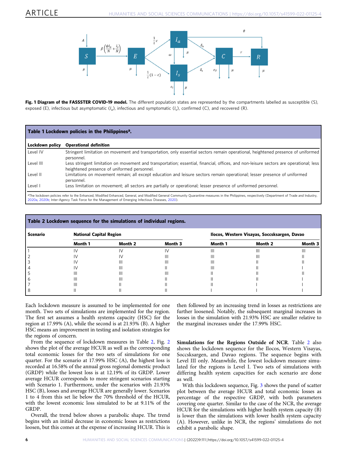<span id="page-7-0"></span>

Fig. 1 Diagram of the FASSSTER COVID-19 model. The different population states are represented by the compartments labelled as susceptible (S), exposed (E), infectious but asymptomatic  $(I_a)$ , infectious and symptomatic  $(I_s)$ , confirmed (C), and recovered (R).

| Table 1 Lockdown policies in the Philippines <sup>a</sup> . |                                                                                                                                                                                                                                                                                                                  |  |  |  |  |  |
|-------------------------------------------------------------|------------------------------------------------------------------------------------------------------------------------------------------------------------------------------------------------------------------------------------------------------------------------------------------------------------------|--|--|--|--|--|
| Lockdown policy                                             | <b>Operational definition</b>                                                                                                                                                                                                                                                                                    |  |  |  |  |  |
| Level IV                                                    | Stringent limitation on movement and transportation, only essential sectors remain operational, heightened presence of uniformed<br>personnel.                                                                                                                                                                   |  |  |  |  |  |
| Level III                                                   | Less stringent limitation on movement and transportation; essential, financial, offices, and non-leisure sectors are operational; less<br>heightened presence of uniformed personnel.                                                                                                                            |  |  |  |  |  |
| Level II                                                    | Limitations on movement remain; all except education and leisure sectors remain operational; lesser presence of uniformed<br>personnel.                                                                                                                                                                          |  |  |  |  |  |
| Level I                                                     | Less limitation on movement; all sectors are partially or operational; lesser presence of uniformed personnel.                                                                                                                                                                                                   |  |  |  |  |  |
|                                                             | <sup>a</sup> The lockdown policies refer to the Enhanced, Modified Enhanced, General, and Modified General Community Quarantine measures in the Philippines, respectively (Department of Trade and Industry,<br>2020a, 2020b; Inter-Agency Task Force for the Management of Emerging Infectious Diseases, 2020). |  |  |  |  |  |

| Table 2 Lockdown sequence for the simulations of individual regions. |                                |         |         |                                              |         |         |  |
|----------------------------------------------------------------------|--------------------------------|---------|---------|----------------------------------------------|---------|---------|--|
| Scenario                                                             | <b>National Capital Region</b> |         |         | Ilocos, Western Visayas, Soccsksargen, Davao |         |         |  |
|                                                                      | Month 1                        | Month 2 | Month 3 | Month 1                                      | Month 2 | Month 3 |  |
|                                                                      |                                |         |         |                                              |         |         |  |
|                                                                      |                                |         |         |                                              | Ш       |         |  |
|                                                                      |                                | Ш       |         |                                              |         |         |  |
|                                                                      |                                | Ш       |         |                                              |         |         |  |
|                                                                      | Ш                              | Ш       |         |                                              |         |         |  |
|                                                                      |                                | Ш       |         |                                              |         |         |  |
|                                                                      |                                |         |         |                                              |         |         |  |
|                                                                      |                                |         |         |                                              |         |         |  |

Each lockdown measure is assumed to be implemented for one month. Two sets of simulations are implemented for the region. The first set assumes a health systems capacity (HSC) for the region at 17.99% (A), while the second is at 21.93% (B). A higher HSC means an improvement in testing and isolation strategies for the regions of concern.

From the sequence of lockdown measures in Table 2, Fig. [2](#page-8-0) shows the plot of the average HCUR as well as the corresponding total economic losses for the two sets of simulations for one quarter. For the scenario at 17.99% HSC (A), the highest loss is recorded at 16.58% of the annual gross regional domestic product (GRDP) while the lowest loss is at 12.19% of its GRDP. Lower average HCUR corresponds to more stringent scenarios starting with Scenario 1. Furthermore, under the scenarios with 21.93% HSC (B), losses and average HCUR are generally lower. Scenarios 1 to 4 from this set lie below the 70% threshold of the HCUR, with the lowest economic loss simulated to be at 9.11% of the GRDP.

Overall, the trend below shows a parabolic shape. The trend begins with an initial decrease in economic losses as restrictions loosen, but this comes at the expense of increasing HCUR. This is then followed by an increasing trend in losses as restrictions are further loosened. Notably, the subsequent marginal increases in losses in the simulation with 21.93% HSC are smaller relative to the marginal increases under the 17.99% HSC.

Simulations for the Regions Outside of NCR. Table 2 also shows the lockdown sequence for the Ilocos, Western Visayas, Soccsksargen, and Davao regions. The sequence begins with Level III only. Meanwhile, the lowest lockdown measure simulated for the regions is Level I. Two sets of simulations with differing health system capacities for each scenario are done as well.

With this lockdown sequence, Fig. [3](#page-8-0) shows the panel of scatter plot between the average HCUR and total economic losses as percentage of the respective GRDP, with both parameters covering one quarter. Similar to the case of the NCR, the average HCUR for the simulations with higher health system capacity (B) is lower than the simulations with lower health system capacity (A). However, unlike in NCR, the regions' simulations do not exhibit a parabolic shape.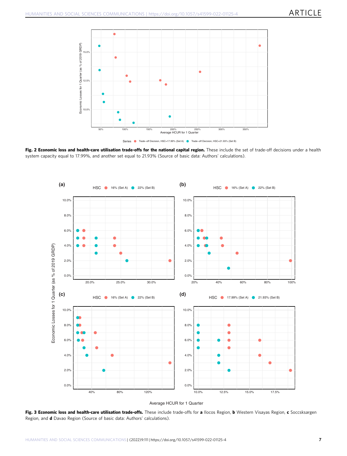<span id="page-8-0"></span>

Fig. 2 Economic loss and health-care utilisation trade-offs for the national capital region. These include the set of trade-off decisions under a health system capacity equal to 17.99%, and another set equal to 21.93% (Source of basic data: Authors' calculations).



Average HCUR for 1 Quarter

Fig. 3 Economic loss and health-care utilisation trade-offs. These include trade-offs for a llocos Region, b Western Visayas Region, c Soccsksargen Region, and d Davao Region (Source of basic data: Authors' calculations).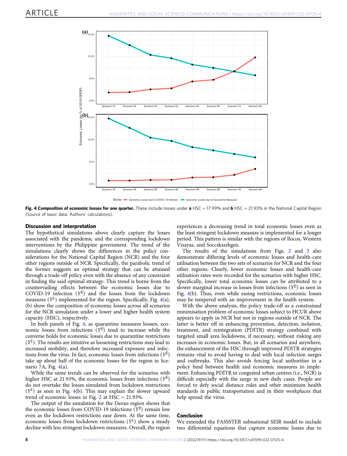

Series Economic Losses due to COVID−19 Infection Enter Economic Losses due to Quarantine Me

Fig. 4 Composition of economic losses for one quarter. These include losses under a HSC = 17.99% and b HSC = 21.93% in the National Capital Region (Source of basic data: Authors' calculations).

#### Discussion and interpretation

The hypothetical simulations above clearly capture the losses associated with the pandemic and the corresponding lockdown interventions by the Philippine government. The trend of the simulations clearly shows the differences in the policy considerations for the National Capital Region (NCR) and the four other regions outside of NCR. Specifically, the parabolic trend of the former suggests an optimal strategy that can be attained through a trade-off policy even with the absence of any constraint in finding the said optimal strategy. This trend is borne from the countervailing effects between the economic losses due to COVID-19 infection  $(Y^E)$  and the losses from the lockdown measures  $(Y^L)$  implemented for the region. Specifically, Fig. 4(a), (b) show the composition of economic losses across all scenarios for the NCR simulation under a lower and higher health system capacity (HSC), respectively.

In both panels of Fig. 4, as quarantine measures loosen, economic losses from infections  $(Y^E)$  tend to increase while the converse holds for economic losses due to quarantine restrictions  $(Y<sup>L</sup>)$ . The results are intuitive as loosening restrictions may lead to increased mobility, and therefore increased exposure and infections from the virus. In fact, economic losses from infections  $(Y^E)$ take up about half of the economic losses for the region in Scenario 7A, Fig.  $4(a)$ .

While the same trends can be observed for the scenarios with higher HSC at 21.93%, the economic losses from infections  $(Y^E)$ do not overtake the losses simulated from lockdown restrictions  $(Y^{L})$  as seen in Fig. 4(b). This may explain the slower upward trend of economic losses in Fig. [2](#page-8-0) at  $HSC = 21.93\%$ .

The output of the simulation for the Davao region shows that the economic losses from COVID-19 infections  $(Y^E)$  remain low even as the lockdown restrictions ease down. At the same time, economic losses from lockdown restrictions  $(Y^L)$  show a steady decline with less stringent lockdown measures. Overall, the region experiences a decreasing trend in total economic losses even as the least stringent lockdown measure is implemented for a longer period. This pattern is similar with the regions of Ilocos, Western Visayas, and Soccsksarkgen.

The results of the simulations from Figs. [2](#page-8-0) and [3](#page-8-0) also demonstrate differing levels of economic losses and health-care utilisation between the two sets of scenarios for NCR and the four other regions. Clearly, lower economic losses and health-care utilisation rates were recorded for the scenarios with higher HSC. Specifically, lower total economic losses can be attributed to a slower marginal increase in losses from infections  $(Y^E)$  as seen in Fig. 4(b). Thus, even while easing restrictions, economic losses may be tempered with an improvement in the health system.

With the above analysis, the policy trade-off as a constrained minimisation problem of economic losses subject to HCUR above appears to apply in NCR but not in regions outside of NCR. The latter is better off in enhancing prevention, detection, isolation, treatment, and reintegration (PDITR) strategy combined with targeted small area lockdowns, if necessary, without risking any increases in economic losses. But, in all scenarios and anywhere, the enhancement of the HSC through improved PDITR strategies remains vital to avoid having to deal with local infection surges and outbreaks. This also avoids forcing local authorities in a policy bind between health and economic measures to implement. Enhancing PDITR in congested urban centres (i.e., NCR) is difficult especially with the surge in new daily cases. People are forced to defy social distance rules and other minimum health standards in public transportation and in their workplaces that help spread the virus.

#### Conclusion

We extended the FASSSTER subnational SEIR model to include two differential equations that capture economic losses due to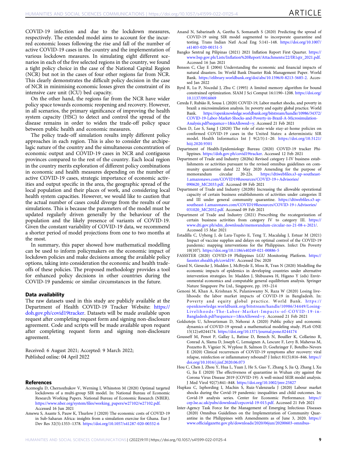<span id="page-10-0"></span>COVID-19 infection and due to the lockdown measures, respectively. The extended model aims to account for the incurred economic losses following the rise and fall of the number of active COVID-19 cases in the country and the implementation of various lockdown measures. In simulating eight different scenarios in each of the five selected regions in the country, we found a tight policy choice in the case of the National Capital Region (NCR) but not in the cases of four other regions far from NCR. This clearly demonstrates the difficult policy decision in the case of NCR in minimising economic losses given the constraint of its intensive care unit (ICU) bed capacity.

On the other hand, the regions far from the NCR have wider policy space towards economic reopening and recovery. However, in all scenarios, the primary significance of improving the health system capacity (HSC) to detect and control the spread of the disease remains in order to widen the trade-off policy space between public health and economic measures.

The policy trade-off simulation results imply different policy approaches in each region. This is also to consider the archipelagic nature of the country and the simultaneous concentration of economic output and COVID-19 cases in NCR and contiguous provinces compared to the rest of the country. Each local region in the country merits exploration of different policy combinations in economic and health measures depending on the number of active COVID-19 cases, strategic importance of economic activities and output specific in the area, the geographic spread of the local population and their places of work, and considering local health system capacities. However, we would like to caution that the actual number of cases could diverge from the results of our simulations. This is because the parameters of the model must be updated regularly driven generally by the behaviour of the population and the likely presence of variants of COVID-19. Given the constant variability of COVID-19 data, we recommend a shorter period of model projections from one to two months at the most.

In summary, this paper showed how mathematical modelling can be used to inform policymakers on the economic impact of lockdown policies and make decisions among the available policy options, taking into consideration the economic and health tradeoffs of these policies. The proposed methodology provides a tool for enhanced policy decisions in other countries during the COVID-19 pandemic or similar circumstances in the future.

#### Data availability

The raw datasets used in this study are publicly available at the Department of Health COVID-19 Tracker Website: [https://](https://doh.gov.ph/covid19tracker) [doh.gov.ph/covid19tracker.](https://doh.gov.ph/covid19tracker) Datasets will be made available upon request after completing request form and signing non-disclosure agreement. Code and scripts will be made available upon request after completing request form and signing non-disclosure agreement.

Received: 6 August 2021; Accepted: 9 March 2022; Published online: 04 April 2022

#### **References**

- Acemoglu D, Chernozhukov V, Werning I, Whinston M (2020) Optimal targeted lockdowns of a multi-group SIR model. In: National Bureau of Economic Research Working Papers. National Bureau of Economic Research (NBER). https://www.nber.org/system/fi[les/working\\_papers/w27102/w27102.pdf.](https://www.nber.org/system/files/working_papers/w27102/w27102.pdf) Accessed 16 Jun 2021
- Amewu S, Asante S, Pauw K, Thurlow J (2020) The economic costs of COVID-19 in Sub-Saharan Africa: insights from a simulation exercise for Ghana. Eur J Dev Res 32(5):1353–1378. <https://doi.org/10.1057/s41287-020-00332-6>
- Anand N, Sabarinath A, Geetha S, Somanath S (2020) Predicting the spread of COVID-19 using SIR model augmented to incorporate quarantine and testing. Trans Indian Natl Acad Eng 5:141–148. [https://doi.org/10.1007/](https://doi.org/10.1007/s41403-020-00151-5) [s41403-020-00151-5](https://doi.org/10.1007/s41403-020-00151-5)
- Bangko Sentral ng Pilipinas (2021) 2021 Inflation Report First Quarter. [https://](https://www.bsp.gov.ph/Lists/Inflation%20Report/Attachments/22/IR1qtr_2021.pdf) www.bsp.gov.ph/Lists/Infl[ation%20Report/Attachments/22/IR1qtr\\_2021.pdf.](https://www.bsp.gov.ph/Lists/Inflation%20Report/Attachments/22/IR1qtr_2021.pdf) Accessed 16 Jun 2021
- Benson C, Clay E (2004) Understanding the economic and financial impacts of natural disasters. In: World Bank Disaster Risk Management Paper. World Bank. [https://elibrary.worldbank.org/doi/abs/10.1596/0-8213-5685-2.](https://elibrary.worldbank.org/doi/abs/10.1596/0-8213-5685-2) Accessed Jan 2022
- Byrd R, Lu P, Nocedal J, Zhu C (1995) A limited memory algorithm for bound constrained optimization. SIAM J Sci Comput 16:1190–1208. [https://doi.org/](https://doi.org/10.1137/0916069) [10.1137/0916069](https://doi.org/10.1137/0916069)
- Cereda F, Rubião R, Sousa L (2020) COVID-19, Labor market shocks, and poverty in brazil: a microsimulation analysis. In: poverty and equity global practice. World Bank. [https://openknowledge.worldbank.org/bitstream/handle/10986/34372/](https://openknowledge.worldbank.org/bitstream/handle/10986/34372/COVID-19-Labor-Market-Shocks-and-Poverty-in-Brazil-A-Microsimulation-Analysis.pdf?sequence=1&isAllowed=y) [COVID-19-Labor-Market-Shocks-and-Poverty-in-Brazil-A-Microsimulation-](https://openknowledge.worldbank.org/bitstream/handle/10986/34372/COVID-19-Labor-Market-Shocks-and-Poverty-in-Brazil-A-Microsimulation-Analysis.pdf?sequence=1&isAllowed=y)[Analysis.pdf?sequence](https://openknowledge.worldbank.org/bitstream/handle/10986/34372/COVID-19-Labor-Market-Shocks-and-Poverty-in-Brazil-A-Microsimulation-Analysis.pdf?sequence=1&isAllowed=y)=1&isAllowed=y. Accessed 21 Feb 2021
- Chen D, Lee S, Sang J (2020) The role of state-wide stay-at-home policies on confirmed COVID-19 cases in the United States: a deterministic SIR model. Health Informatics Int J 9(2/3):1–20. [https://doi.org/10.5121/](https://doi.org/10.5121/hiij.2020.9301) [hiij.2020.9301](https://doi.org/10.5121/hiij.2020.9301)
- Department of Health-Epidemiology Bureau (2020) COVID-19 tracker Philippines. [https://doh.gov.ph/covid19tracker.](https://doh.gov.ph/covid19tracker) Accessed 12 Feb 2021
- Department of Trade and Industry (2020a) Revised category I-IV business establishments or activities pursuant to the revised omnibus guidelines on community quarantine dated 22 May 2020 Amending for the purpose of memorandum circular 20-22s. https://dtiwebfiles.s3-ap-southeasthttps://dtiwebfi[les.s3-ap-southeast-](https://dtiwebfiles.s3-ap-southeast-1.amazonaws.com/COVID19Resources/COVID-19+Advisories/090620_MC2033.pdf)[1.amazonaws.com/COVID19Resources/COVID-19](https://dtiwebfiles.s3-ap-southeast-1.amazonaws.com/COVID19Resources/COVID-19+Advisories/090620_MC2033.pdf)+Advisories/ [090620\\_MC2033.pdf](https://dtiwebfiles.s3-ap-southeast-1.amazonaws.com/COVID19Resources/COVID-19+Advisories/090620_MC2033.pdf). Accessed 09 Feb 2021
- Department of Trade and Industry (2020b) Increasing the allowable operational capacity of certain business establishments of activities under categories II and III under general community quarantine. [https://dtiweb](https://dtiwebfiles.s3-ap-southeast-1.amazonaws.com/COVID19Resources/COVID-19+Advisories/031020_MC2052.pdf)files.s3-ap[southeast-1.amazonaws.com/COVID19Resources/COVID-19](https://dtiwebfiles.s3-ap-southeast-1.amazonaws.com/COVID19Resources/COVID-19+Advisories/031020_MC2052.pdf)+Advisories/ [031020\\_MC2052.pdf](https://dtiwebfiles.s3-ap-southeast-1.amazonaws.com/COVID19Resources/COVID-19+Advisories/031020_MC2052.pdf). Accessed 09 Feb 2021
- Department of Trade and Industry (2021) Prescribing the recategorization of certain business activities from category IV to category III. [https://](https://www.dti.gov.ph/sdm_downloads/memorandum-circular-no-21-08-s-2021/) [www.dti.gov.ph/sdm\\_downloads/memorandum-circular-no-21-08-s-2021/.](https://www.dti.gov.ph/sdm_downloads/memorandum-circular-no-21-08-s-2021/) Accessed 15 Mar 2021
- Estadilla C, Uyheng J, de Lara-Tuprio E, Teng T, Macalalag J, Estuar M (2021) Impact of vaccine supplies and delays on optimal control of the COVID-19 pandemic: mapping interventions for the Philippines. Infect Dis Poverty 10(107). <https://doi.org/10.1186/s40249-021-00886-5>
- FASSSTER (2020) COVID-19 Philippines LGU Monitoring Platform. [https://](https://fassster.ehealth.ph/covid19/) [fassster.ehealth.ph/covid19/](https://fassster.ehealth.ph/covid19/). Accessed Dec 2020
- Geard N, Giesecke J, Madden J, McBryde E, Moss R, Tran N (2020) Modelling the economic impacts of epidemics in developing countries under alternative intervention strategies. In: Madden J, Shibusawa H, Higano Y (eds) Environmental economics and computable general equilibrium analysis. Springer Nature Singapore Pte Ltd., Singapore, pp. 193–214
- Genoni M, Khan A, Krishnan N, Palaniswamy N, Raza W (2020) Losing livelihoods: the labor market impacts of COVID-19 in Bangladesh. In: Poverty and equity global practice. World Bank. [https://](https://openknowledge.worldbank.org/bitstream/handle/10986/34449/Losing-Livelihoods-The-Labor-Market-Impacts-of-COVID-19-in-Bangladesh.pdf?sequence=1&isAllowed=y) [openknowledge.worldbank.org/bitstream/handle/10986/34449/Losing](https://openknowledge.worldbank.org/bitstream/handle/10986/34449/Losing-Livelihoods-The-Labor-Market-Impacts-of-COVID-19-in-Bangladesh.pdf?sequence=1&isAllowed=y)Livelihoods-The-Labor-Mark[et-Impacts-of-COVID-19-in-](https://openknowledge.worldbank.org/bitstream/handle/10986/34449/Losing-Livelihoods-The-Labor-Market-Impacts-of-COVID-19-in-Bangladesh.pdf?sequence=1&isAllowed=y)[Bangladesh.pdf?sequence](https://openknowledge.worldbank.org/bitstream/handle/10986/34449/Losing-Livelihoods-The-Labor-Market-Impacts-of-COVID-19-in-Bangladesh.pdf?sequence=1&isAllowed=y)=1&isAllowed=y. Accessed 21 Feb 2021
- Goldsztejn U, Schwartzman D, Nehorai A (2020) Public policy and economic dynamics of COVID-19 spread: a mathematical modeling study. PLoS ONE 15(12):e0244174. <https://doi.org/10.1371/journal.pone.0244174>
- Gousseff M, Penot P, Gallay L, Batisse D, Benech N, Bouiller K, Collarino R, Conrad A, Slama D, Joseph C, Lemaignen A, Lescure F, Levy B, Mahevas M, Pozzetto B, Vignier N, Wyplosz B, Salmon D, Goehringer F, Botelho-Nevers E (2020) Clinical recurrences of COVID-19 symptoms after recovery: viral relapse, reinfection or inflammatory rebound? J Infect 81(5):816–846. [https://](https://doi.org/10.1016/j.jinf.2020.06.073) [doi.org/10.1016/j.jinf.2020.06.073](https://doi.org/10.1016/j.jinf.2020.06.073)
- Hou C, Chen J, Zhou Y, Hua L, Yuan J, He S, Guo Y, Zhang S, Jia Q, Zhang J, Xu G, Jia E (2020) The effectiveness of quarantine in Wuhan city against the Corona Virus Disease 2019 (COVID-19): A well-mixed SEIR model analysis. J Med Virol 92(7):841–848. <https://doi.org/10.1002/jmv.25827>
- Hupkau C, Isphording I, Machin S, Ruiz-Valenzuela J (2020) Labour market shocks during the Covid-19 pandemic: inequalities and child outcomes. In: Covid-19 analysis series. Center for Economic Performance. [https://](https://cep.lse.ac.uk/pubs/download/cepcovid-19-015.pdf) [cep.lse.ac.uk/pubs/download/cepcovid-19-015.pdf](https://cep.lse.ac.uk/pubs/download/cepcovid-19-015.pdf). Accessed 21 Feb 2021
- Inter-Agency Task Force for the Management of Emerging Infectious Diseases (2020) Omnibus Guidelines on the Implementation of Community Quarantine in the Philippines with Amendments as of June 3, 2020. [https://](https://www.officialgazette.gov.ph/downloads/2020/06jun/20200603-omnibus-guidelines-on-the-implementation-of-community-quarantine-in-the-philippines.pdf) www.offi[cialgazette.gov.ph/downloads/2020/06jun/20200603-omnibus-](https://www.officialgazette.gov.ph/downloads/2020/06jun/20200603-omnibus-guidelines-on-the-implementation-of-community-quarantine-in-the-philippines.pdf)